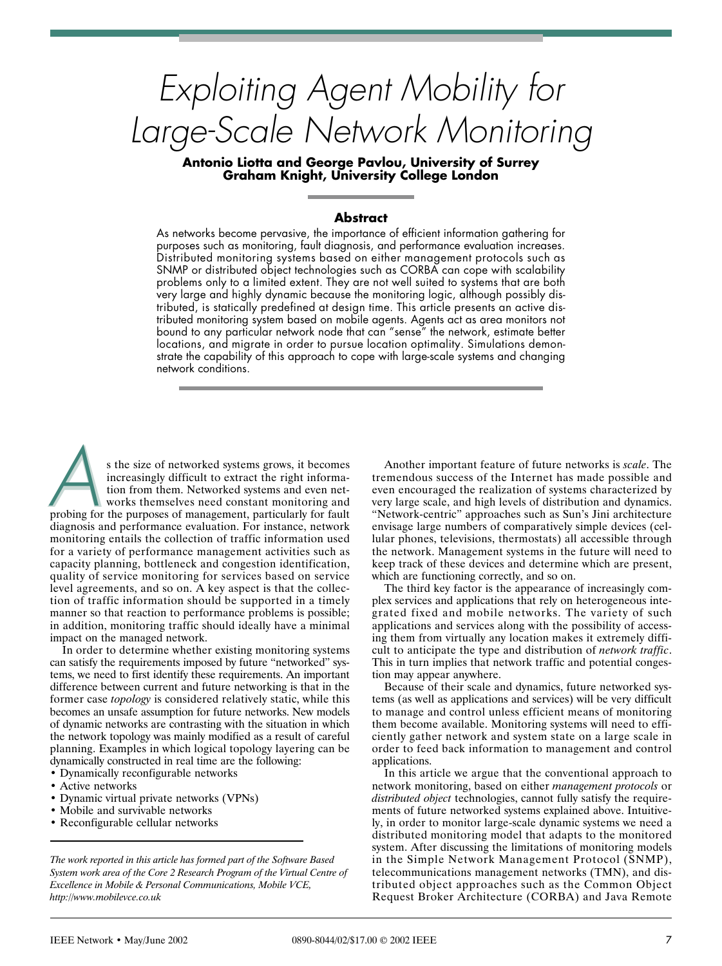# *Exploiting Agent Mobility for Large-Scale Network Monitoring*

**Antonio Liotta and George Pavlou, University of Surrey Graham Knight, University College London**

# **Abstract**

As networks become pervasive, the importance of efficient information gathering for purposes such as monitoring, fault diagnosis, and performance evaluation increases. Distributed monitoring systems based on either management protocols such as SNMP or distributed object technologies such as CORBA can cope with scalability problems only to a limited extent. They are not well suited to systems that are both very large and highly dynamic because the monitoring logic, although possibly distributed, is statically predefined at design time. This article presents an active distributed monitoring system based on mobile agents. Agents act as area monitors not bound to any particular network node that can "sense" the network, estimate better locations, and migrate in order to pursue location optimality. Simulations demonstrate the capability of this approach to cope with large-scale systems and changing network conditions.

s the size of networked systems grows, it becomes increasingly difficult to extract the right information from them. Networked systems and even networks themselves need constant monitoring and s the size of networked systems grows, it becomes<br>increasingly difficult to extract the right informa-<br>tion from them. Networked systems and even net-<br>works themselves need constant monitoring and<br>probing for the purposes diagnosis and performance evaluation. For instance, network monitoring entails the collection of traffic information used for a variety of performance management activities such as capacity planning, bottleneck and congestion identification, quality of service monitoring for services based on service level agreements, and so on. A key aspect is that the collection of traffic information should be supported in a timely manner so that reaction to performance problems is possible; in addition, monitoring traffic should ideally have a minimal impact on the managed network.

In order to determine whether existing monitoring systems can satisfy the requirements imposed by future "networked" systems, we need to first identify these requirements. An important difference between current and future networking is that in the former case *topology* is considered relatively static, while this becomes an unsafe assumption for future networks. New models of dynamic networks are contrasting with the situation in which the network topology was mainly modified as a result of careful planning. Examples in which logical topology layering can be dynamically constructed in real time are the following:

- Dynamically reconfigurable networks
- Active networks
- Dynamic virtual private networks (VPNs)
- Mobile and survivable networks
- Reconfigurable cellular networks

*The work reported in this article has formed part of the Software Based System work area of the Core 2 Research Program of the Virtual Centre of Excellence in Mobile & Personal Communications, Mobile VCE, http://www.mobilevce.co.uk*

Another important feature of future networks is *scale*. The tremendous success of the Internet has made possible and even encouraged the realization of systems characterized by very large scale, and high levels of distribution and dynamics. "Network-centric" approaches such as Sun's Jini architecture envisage large numbers of comparatively simple devices (cellular phones, televisions, thermostats) all accessible through the network. Management systems in the future will need to keep track of these devices and determine which are present, which are functioning correctly, and so on.

The third key factor is the appearance of increasingly complex services and applications that rely on heterogeneous integrated fixed and mobile networks. The variety of such applications and services along with the possibility of accessing them from virtually any location makes it extremely difficult to anticipate the type and distribution of *network traffic*. This in turn implies that network traffic and potential congestion may appear anywhere.

Because of their scale and dynamics, future networked systems (as well as applications and services) will be very difficult to manage and control unless efficient means of monitoring them become available. Monitoring systems will need to efficiently gather network and system state on a large scale in order to feed back information to management and control applications.

In this article we argue that the conventional approach to network monitoring, based on either *management protocols* or *distributed object* technologies, cannot fully satisfy the requirements of future networked systems explained above. Intuitively, in order to monitor large-scale dynamic systems we need a distributed monitoring model that adapts to the monitored system. After discussing the limitations of monitoring models in the Simple Network Management Protocol (SNMP), telecommunications management networks (TMN), and distributed object approaches such as the Common Object Request Broker Architecture (CORBA) and Java Remote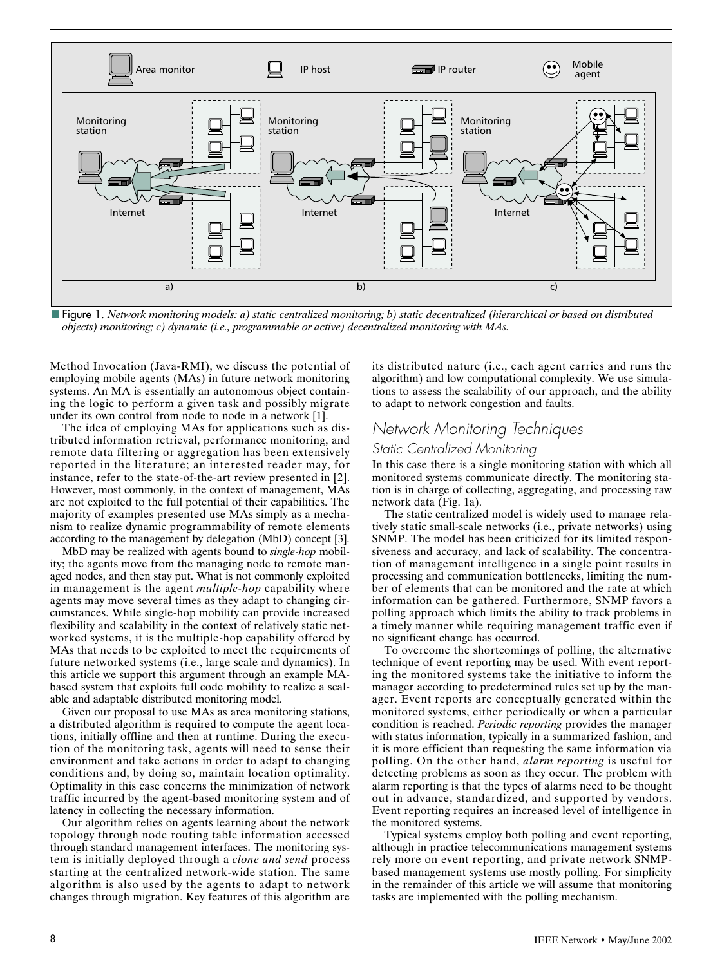

■ Figure 1. *Network monitoring models: a) static centralized monitoring; b) static decentralized (hierarchical or based on distributed objects) monitoring; c) dynamic (i.e., programmable or active) decentralized monitoring with MAs.*

Method Invocation (Java-RMI), we discuss the potential of employing mobile agents (MAs) in future network monitoring systems. An MA is essentially an autonomous object containing the logic to perform a given task and possibly migrate under its own control from node to node in a network [1].

The idea of employing MAs for applications such as distributed information retrieval, performance monitoring, and remote data filtering or aggregation has been extensively reported in the literature; an interested reader may, for instance, refer to the state-of-the-art review presented in [2]. However, most commonly, in the context of management, MAs are not exploited to the full potential of their capabilities. The majority of examples presented use MAs simply as a mechanism to realize dynamic programmability of remote elements according to the management by delegation (MbD) concept [3].

MbD may be realized with agents bound to *single-hop* mobility; the agents move from the managing node to remote managed nodes, and then stay put. What is not commonly exploited in management is the agent *multiple-hop* capability where agents may move several times as they adapt to changing circumstances. While single-hop mobility can provide increased flexibility and scalability in the context of relatively static networked systems, it is the multiple-hop capability offered by MAs that needs to be exploited to meet the requirements of future networked systems (i.e., large scale and dynamics). In this article we support this argument through an example MAbased system that exploits full code mobility to realize a scalable and adaptable distributed monitoring model.

Given our proposal to use MAs as area monitoring stations, a distributed algorithm is required to compute the agent locations, initially offline and then at runtime. During the execution of the monitoring task, agents will need to sense their environment and take actions in order to adapt to changing conditions and, by doing so, maintain location optimality. Optimality in this case concerns the minimization of network traffic incurred by the agent-based monitoring system and of latency in collecting the necessary information.

Our algorithm relies on agents learning about the network topology through node routing table information accessed through standard management interfaces. The monitoring system is initially deployed through a *clone and send* process starting at the centralized network-wide station. The same algorithm is also used by the agents to adapt to network changes through migration. Key features of this algorithm are

its distributed nature (i.e., each agent carries and runs the algorithm) and low computational complexity. We use simulations to assess the scalability of our approach, and the ability to adapt to network congestion and faults.

# *Network Monitoring Techniques*

# *Static Centralized Monitoring*

In this case there is a single monitoring station with which all monitored systems communicate directly. The monitoring station is in charge of collecting, aggregating, and processing raw network data (Fig. 1a).

The static centralized model is widely used to manage relatively static small-scale networks (i.e., private networks) using SNMP. The model has been criticized for its limited responsiveness and accuracy, and lack of scalability. The concentration of management intelligence in a single point results in processing and communication bottlenecks, limiting the number of elements that can be monitored and the rate at which information can be gathered. Furthermore, SNMP favors a polling approach which limits the ability to track problems in a timely manner while requiring management traffic even if no significant change has occurred.

To overcome the shortcomings of polling, the alternative technique of event reporting may be used. With event reporting the monitored systems take the initiative to inform the manager according to predetermined rules set up by the manager. Event reports are conceptually generated within the monitored systems, either periodically or when a particular condition is reached. *Periodic reporting* provides the manager with status information, typically in a summarized fashion, and it is more efficient than requesting the same information via polling. On the other hand, *alarm reporting* is useful for detecting problems as soon as they occur. The problem with alarm reporting is that the types of alarms need to be thought out in advance, standardized, and supported by vendors. Event reporting requires an increased level of intelligence in the monitored systems.

Typical systems employ both polling and event reporting, although in practice telecommunications management systems rely more on event reporting, and private network SNMPbased management systems use mostly polling. For simplicity in the remainder of this article we will assume that monitoring tasks are implemented with the polling mechanism.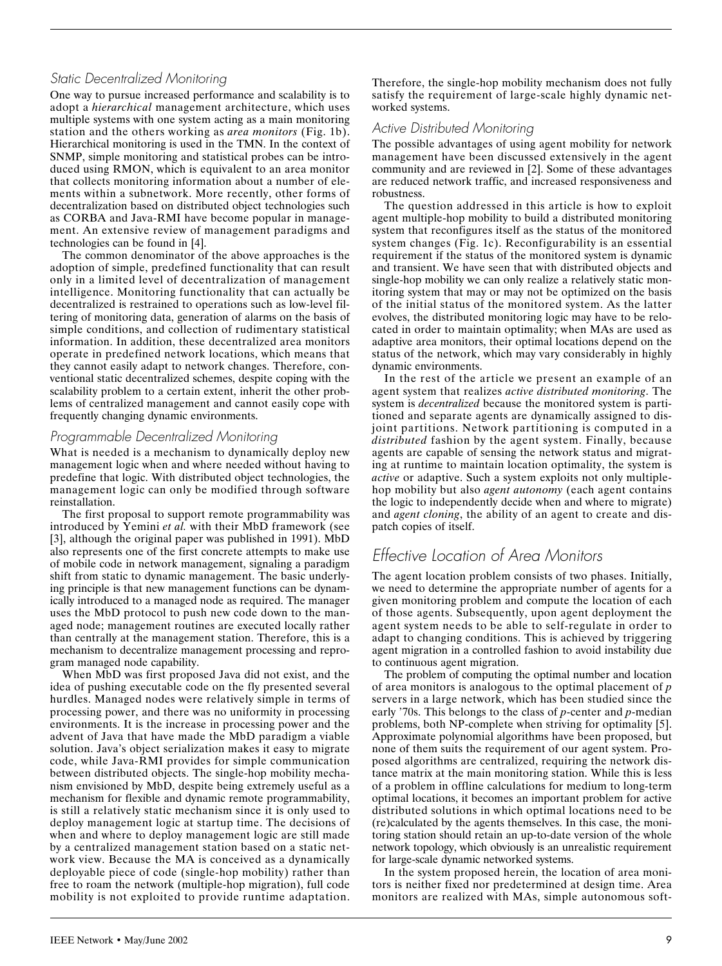# *Static Decentralized Monitoring*

One way to pursue increased performance and scalability is to adopt a *hierarchical* management architecture, which uses multiple systems with one system acting as a main monitoring station and the others working as *area monitors* (Fig. 1b). Hierarchical monitoring is used in the TMN. In the context of SNMP, simple monitoring and statistical probes can be introduced using RMON, which is equivalent to an area monitor that collects monitoring information about a number of elements within a subnetwork. More recently, other forms of decentralization based on distributed object technologies such as CORBA and Java-RMI have become popular in management. An extensive review of management paradigms and technologies can be found in [4].

The common denominator of the above approaches is the adoption of simple, predefined functionality that can result only in a limited level of decentralization of management intelligence. Monitoring functionality that can actually be decentralized is restrained to operations such as low-level filtering of monitoring data, generation of alarms on the basis of simple conditions, and collection of rudimentary statistical information. In addition, these decentralized area monitors operate in predefined network locations, which means that they cannot easily adapt to network changes. Therefore, conventional static decentralized schemes, despite coping with the scalability problem to a certain extent, inherit the other problems of centralized management and cannot easily cope with frequently changing dynamic environments.

# *Programmable Decentralized Monitoring*

What is needed is a mechanism to dynamically deploy new management logic when and where needed without having to predefine that logic. With distributed object technologies, the management logic can only be modified through software reinstallation.

The first proposal to support remote programmability was introduced by Yemini *et al.* with their MbD framework (see [3], although the original paper was published in 1991). MbD also represents one of the first concrete attempts to make use of mobile code in network management, signaling a paradigm shift from static to dynamic management. The basic underlying principle is that new management functions can be dynamically introduced to a managed node as required. The manager uses the MbD protocol to push new code down to the managed node; management routines are executed locally rather than centrally at the management station. Therefore, this is a mechanism to decentralize management processing and reprogram managed node capability.

When MbD was first proposed Java did not exist, and the idea of pushing executable code on the fly presented several hurdles. Managed nodes were relatively simple in terms of processing power, and there was no uniformity in processing environments. It is the increase in processing power and the advent of Java that have made the MbD paradigm a viable solution. Java's object serialization makes it easy to migrate code, while Java-RMI provides for simple communication between distributed objects. The single-hop mobility mechanism envisioned by MbD, despite being extremely useful as a mechanism for flexible and dynamic remote programmability, is still a relatively static mechanism since it is only used to deploy management logic at startup time. The decisions of when and where to deploy management logic are still made by a centralized management station based on a static network view. Because the MA is conceived as a dynamically deployable piece of code (single-hop mobility) rather than free to roam the network (multiple-hop migration), full code mobility is not exploited to provide runtime adaptation.

Therefore, the single-hop mobility mechanism does not fully satisfy the requirement of large-scale highly dynamic networked systems.

## *Active Distributed Monitoring*

The possible advantages of using agent mobility for network management have been discussed extensively in the agent community and are reviewed in [2]. Some of these advantages are reduced network traffic, and increased responsiveness and robustness.

The question addressed in this article is how to exploit agent multiple-hop mobility to build a distributed monitoring system that reconfigures itself as the status of the monitored system changes (Fig. 1c). Reconfigurability is an essential requirement if the status of the monitored system is dynamic and transient. We have seen that with distributed objects and single-hop mobility we can only realize a relatively static monitoring system that may or may not be optimized on the basis of the initial status of the monitored system. As the latter evolves, the distributed monitoring logic may have to be relocated in order to maintain optimality; when MAs are used as adaptive area monitors, their optimal locations depend on the status of the network, which may vary considerably in highly dynamic environments.

In the rest of the article we present an example of an agent system that realizes *active distributed monitoring*. The system is *decentralized* because the monitored system is partitioned and separate agents are dynamically assigned to disjoint partitions. Network partitioning is computed in a *distributed* fashion by the agent system. Finally, because agents are capable of sensing the network status and migrating at runtime to maintain location optimality, the system is *active* or adaptive. Such a system exploits not only multiplehop mobility but also *agent autonomy* (each agent contains the logic to independently decide when and where to migrate) and *agent cloning*, the ability of an agent to create and dispatch copies of itself.

# *Effective Location of Area Monitors*

The agent location problem consists of two phases. Initially, we need to determine the appropriate number of agents for a given monitoring problem and compute the location of each of those agents. Subsequently, upon agent deployment the agent system needs to be able to self-regulate in order to adapt to changing conditions. This is achieved by triggering agent migration in a controlled fashion to avoid instability due to continuous agent migration.

The problem of computing the optimal number and location of area monitors is analogous to the optimal placement of *p* servers in a large network, which has been studied since the early '70s. This belongs to the class of *p*-center and *p*-median problems, both NP-complete when striving for optimality [5]. Approximate polynomial algorithms have been proposed, but none of them suits the requirement of our agent system. Proposed algorithms are centralized, requiring the network distance matrix at the main monitoring station. While this is less of a problem in offline calculations for medium to long-term optimal locations, it becomes an important problem for active distributed solutions in which optimal locations need to be (re)calculated by the agents themselves. In this case, the monitoring station should retain an up-to-date version of the whole network topology, which obviously is an unrealistic requirement for large-scale dynamic networked systems.

In the system proposed herein, the location of area monitors is neither fixed nor predetermined at design time. Area monitors are realized with MAs, simple autonomous soft-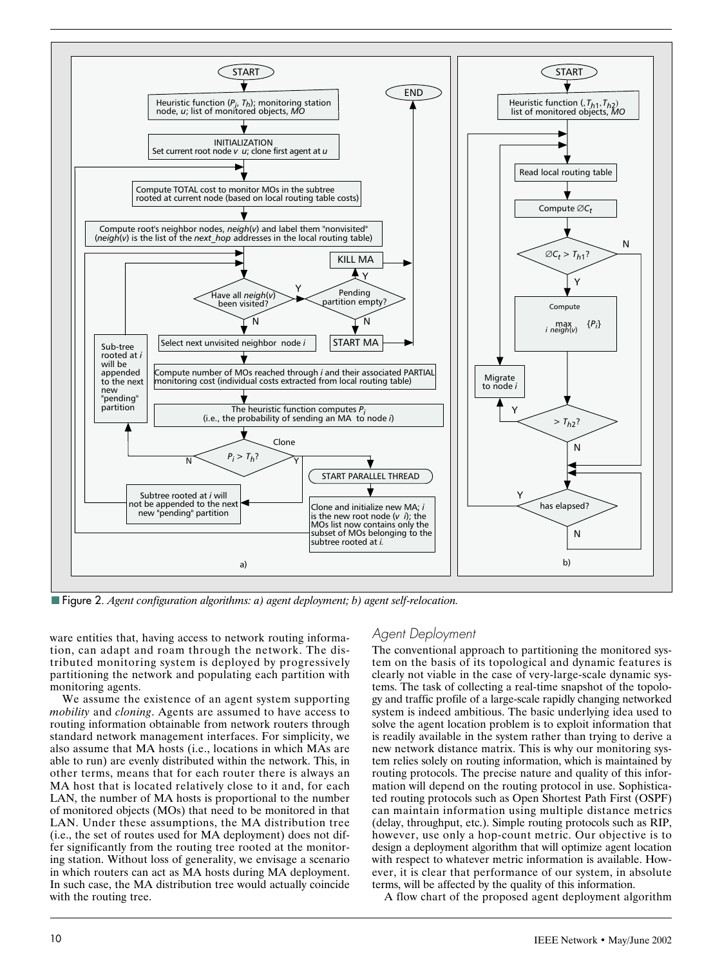

■ Figure 2. *Agent configuration algorithms: a) agent deployment; b) agent self-relocation*.

ware entities that, having access to network routing information, can adapt and roam through the network. The distributed monitoring system is deployed by progressively partitioning the network and populating each partition with monitoring agents.

We assume the existence of an agent system supporting *mobility* and *cloning*. Agents are assumed to have access to routing information obtainable from network routers through standard network management interfaces. For simplicity, we also assume that MA hosts (i.e., locations in which MAs are able to run) are evenly distributed within the network. This, in other terms, means that for each router there is always an MA host that is located relatively close to it and, for each LAN, the number of MA hosts is proportional to the number of monitored objects (MOs) that need to be monitored in that LAN. Under these assumptions, the MA distribution tree (i.e., the set of routes used for MA deployment) does not differ significantly from the routing tree rooted at the monitoring station. Without loss of generality, we envisage a scenario in which routers can act as MA hosts during MA deployment. In such case, the MA distribution tree would actually coincide with the routing tree.

## *Agent Deployment*

The conventional approach to partitioning the monitored system on the basis of its topological and dynamic features is clearly not viable in the case of very-large-scale dynamic systems. The task of collecting a real-time snapshot of the topology and traffic profile of a large-scale rapidly changing networked system is indeed ambitious. The basic underlying idea used to solve the agent location problem is to exploit information that is readily available in the system rather than trying to derive a new network distance matrix. This is why our monitoring system relies solely on routing information, which is maintained by routing protocols. The precise nature and quality of this information will depend on the routing protocol in use. Sophisticated routing protocols such as Open Shortest Path First (OSPF) can maintain information using multiple distance metrics (delay, throughput, etc.). Simple routing protocols such as RIP, however, use only a hop-count metric. Our objective is to design a deployment algorithm that will optimize agent location with respect to whatever metric information is available. However, it is clear that performance of our system, in absolute terms, will be affected by the quality of this information.

A flow chart of the proposed agent deployment algorithm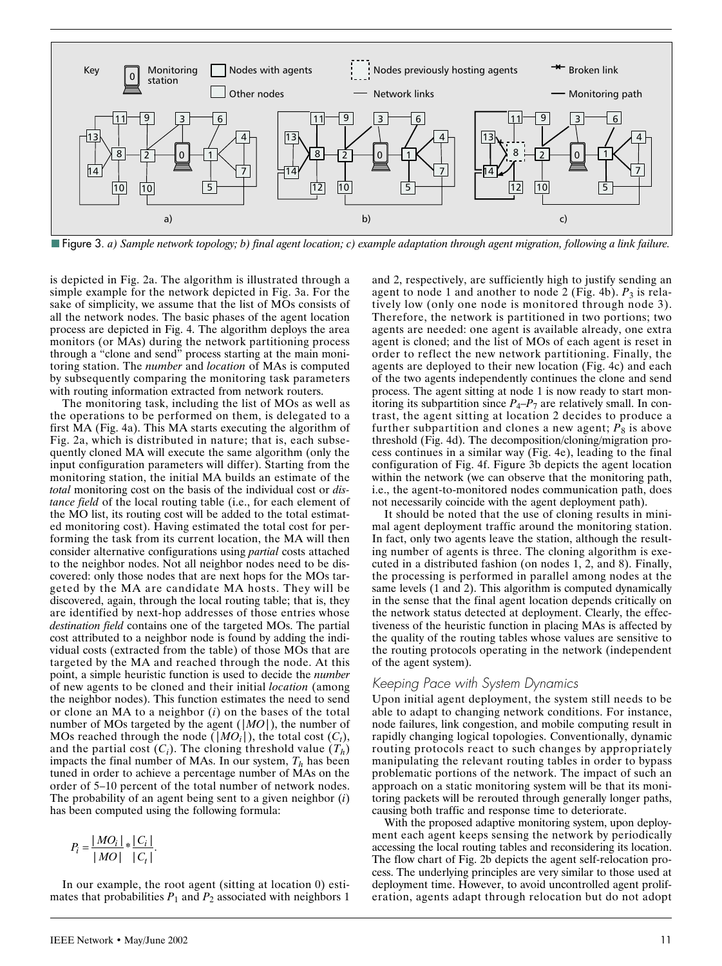

■ Figure 3. *a) Sample network topology; b) final agent location; c) example adaptation through agent migration, following a link failure.*

is depicted in Fig. 2a. The algorithm is illustrated through a simple example for the network depicted in Fig. 3a. For the sake of simplicity, we assume that the list of MOs consists of all the network nodes. The basic phases of the agent location process are depicted in Fig. 4. The algorithm deploys the area monitors (or MAs) during the network partitioning process through a "clone and send" process starting at the main monitoring station. The *number* and *location* of MAs is computed by subsequently comparing the monitoring task parameters with routing information extracted from network routers.

The monitoring task, including the list of MOs as well as the operations to be performed on them, is delegated to a first MA (Fig. 4a). This MA starts executing the algorithm of Fig. 2a, which is distributed in nature; that is, each subsequently cloned MA will execute the same algorithm (only the input configuration parameters will differ). Starting from the monitoring station, the initial MA builds an estimate of the *total* monitoring cost on the basis of the individual cost or *distance field* of the local routing table (i.e., for each element of the MO list, its routing cost will be added to the total estimated monitoring cost). Having estimated the total cost for performing the task from its current location, the MA will then consider alternative configurations using *partial* costs attached to the neighbor nodes. Not all neighbor nodes need to be discovered: only those nodes that are next hops for the MOs targeted by the MA are candidate MA hosts. They will be discovered, again, through the local routing table; that is, they are identified by next-hop addresses of those entries whose *destination field* contains one of the targeted MOs. The partial cost attributed to a neighbor node is found by adding the individual costs (extracted from the table) of those MOs that are targeted by the MA and reached through the node. At this point, a simple heuristic function is used to decide the *number* of new agents to be cloned and their initial *location* (among the neighbor nodes). This function estimates the need to send or clone an MA to a neighbor (*i*) on the bases of the total number of MOs targeted by the agent (|*MO*|), the number of MOs reached through the node  $(|MO_i|)$ , the total cost  $(C_t)$ , and the partial cost  $(C_i)$ . The cloning threshold value  $(T_h)$ impacts the final number of MAs. In our system,  $T_h$  has been tuned in order to achieve a percentage number of MAs on the order of 5–10 percent of the total number of network nodes. The probability of an agent being sent to a given neighbor (*i*) has been computed using the following formula:

$$
P_i = \frac{|MO_i|}{|MO|} * \frac{|C_i|}{|C_t|}.
$$

In our example, the root agent (sitting at location 0) estimates that probabilities  $P_1$  and  $P_2$  associated with neighbors 1

and 2, respectively, are sufficiently high to justify sending an agent to node 1 and another to node 2 (Fig. 4b).  $P_3$  is relatively low (only one node is monitored through node 3). Therefore, the network is partitioned in two portions; two agents are needed: one agent is available already, one extra agent is cloned; and the list of MOs of each agent is reset in order to reflect the new network partitioning. Finally, the agents are deployed to their new location (Fig. 4c) and each of the two agents independently continues the clone and send process. The agent sitting at node 1 is now ready to start monitoring its subpartition since  $P_4$ – $P_7$  are relatively small. In contrast, the agent sitting at location 2 decides to produce a further subpartition and clones a new agent;  $P_8$  is above threshold (Fig. 4d). The decomposition/cloning/migration process continues in a similar way (Fig. 4e), leading to the final configuration of Fig. 4f. Figure 3b depicts the agent location within the network (we can observe that the monitoring path, i.e., the agent-to-monitored nodes communication path, does not necessarily coincide with the agent deployment path).

It should be noted that the use of cloning results in minimal agent deployment traffic around the monitoring station. In fact, only two agents leave the station, although the resulting number of agents is three. The cloning algorithm is executed in a distributed fashion (on nodes 1, 2, and 8). Finally, the processing is performed in parallel among nodes at the same levels (1 and 2). This algorithm is computed dynamically in the sense that the final agent location depends critically on the network status detected at deployment. Clearly, the effectiveness of the heuristic function in placing MAs is affected by the quality of the routing tables whose values are sensitive to the routing protocols operating in the network (independent of the agent system).

#### *Keeping Pace with System Dynamics*

Upon initial agent deployment, the system still needs to be able to adapt to changing network conditions. For instance, node failures, link congestion, and mobile computing result in rapidly changing logical topologies. Conventionally, dynamic routing protocols react to such changes by appropriately manipulating the relevant routing tables in order to bypass problematic portions of the network. The impact of such an approach on a static monitoring system will be that its monitoring packets will be rerouted through generally longer paths, causing both traffic and response time to deteriorate.

With the proposed adaptive monitoring system, upon deployment each agent keeps sensing the network by periodically accessing the local routing tables and reconsidering its location. The flow chart of Fig. 2b depicts the agent self-relocation process. The underlying principles are very similar to those used at deployment time. However, to avoid uncontrolled agent proliferation, agents adapt through relocation but do not adopt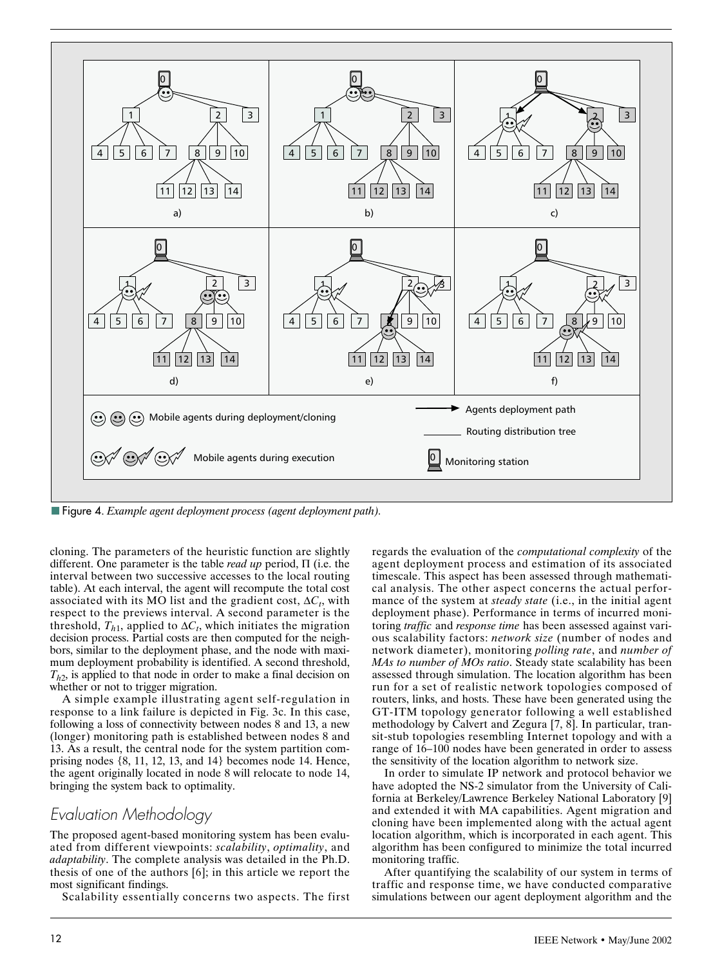

■ Figure 4. *Example agent deployment process (agent deployment path)*.

cloning. The parameters of the heuristic function are slightly different. One parameter is the table *read up* period,  $\Pi$  (i.e. the interval between two successive accesses to the local routing table). At each interval, the agent will recompute the total cost associated with its MO list and the gradient cost,  $\Delta C_t$ , with respect to the previews interval. A second parameter is the threshold,  $T_{h1}$ , applied to  $\Delta C_t$ , which initiates the migration decision process. Partial costs are then computed for the neighbors, similar to the deployment phase, and the node with maximum deployment probability is identified. A second threshold,  $T_{h2}$ , is applied to that node in order to make a final decision on whether or not to trigger migration.

A simple example illustrating agent self-regulation in response to a link failure is depicted in Fig. 3c. In this case, following a loss of connectivity between nodes 8 and 13, a new (longer) monitoring path is established between nodes 8 and 13. As a result, the central node for the system partition comprising nodes {8, 11, 12, 13, and 14} becomes node 14. Hence, the agent originally located in node 8 will relocate to node 14, bringing the system back to optimality.

# *Evaluation Methodology*

The proposed agent-based monitoring system has been evaluated from different viewpoints: *scalability*, *optimality*, and *adaptability*. The complete analysis was detailed in the Ph.D. thesis of one of the authors [6]; in this article we report the most significant findings.

Scalability essentially concerns two aspects. The first

regards the evaluation of the *computational complexity* of the agent deployment process and estimation of its associated timescale. This aspect has been assessed through mathematical analysis. The other aspect concerns the actual performance of the system at *steady state* (i.e., in the initial agent deployment phase). Performance in terms of incurred monitoring *traffic* and *response time* has been assessed against various scalability factors: *network size* (number of nodes and network diameter), monitoring *polling rate*, and *number of MAs to number of MOs ratio*. Steady state scalability has been assessed through simulation. The location algorithm has been run for a set of realistic network topologies composed of routers, links, and hosts. These have been generated using the GT-ITM topology generator following a well established methodology by Calvert and Zegura [7, 8]. In particular, transit-stub topologies resembling Internet topology and with a range of 16–100 nodes have been generated in order to assess the sensitivity of the location algorithm to network size.

In order to simulate IP network and protocol behavior we have adopted the NS-2 simulator from the University of California at Berkeley/Lawrence Berkeley National Laboratory [9] and extended it with MA capabilities. Agent migration and cloning have been implemented along with the actual agent location algorithm, which is incorporated in each agent. This algorithm has been configured to minimize the total incurred monitoring traffic.

After quantifying the scalability of our system in terms of traffic and response time, we have conducted comparative simulations between our agent deployment algorithm and the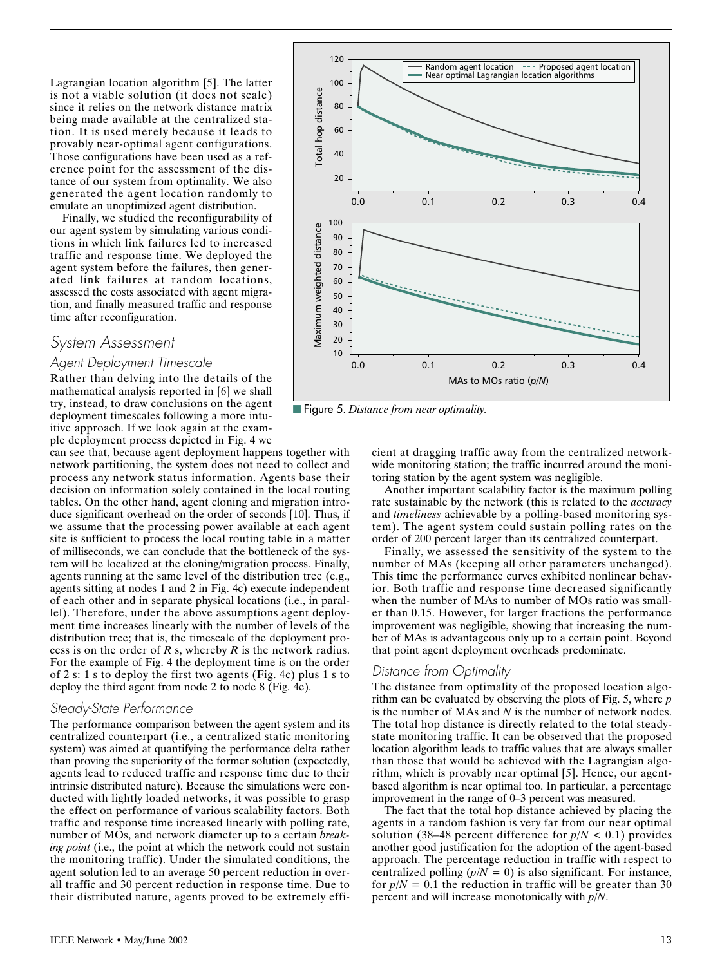Lagrangian location algorithm [5]. The latter is not a viable solution (it does not scale) since it relies on the network distance matrix being made available at the centralized station. It is used merely because it leads to provably near-optimal agent configurations. Those configurations have been used as a reference point for the assessment of the distance of our system from optimality. We also generated the agent location randomly to emulate an unoptimized agent distribution.

Finally, we studied the reconfigurability of our agent system by simulating various conditions in which link failures led to increased traffic and response time. We deployed the agent system before the failures, then generated link failures at random locations, assessed the costs associated with agent migration, and finally measured traffic and response time after reconfiguration.

# *System Assessment*

# *Agent Deployment Timescale*

Rather than delving into the details of the mathematical analysis reported in [6] we shall try, instead, to draw conclusions on the agent deployment timescales following a more intuitive approach. If we look again at the example deployment process depicted in Fig. 4 we

can see that, because agent deployment happens together with network partitioning, the system does not need to collect and process any network status information. Agents base their decision on information solely contained in the local routing tables. On the other hand, agent cloning and migration introduce significant overhead on the order of seconds [10]. Thus, if we assume that the processing power available at each agent site is sufficient to process the local routing table in a matter of milliseconds, we can conclude that the bottleneck of the system will be localized at the cloning/migration process. Finally, agents running at the same level of the distribution tree (e.g., agents sitting at nodes 1 and 2 in Fig. 4c) execute independent of each other and in separate physical locations (i.e., in parallel). Therefore, under the above assumptions agent deployment time increases linearly with the number of levels of the distribution tree; that is, the timescale of the deployment process is on the order of *R* s, whereby *R* is the network radius. For the example of Fig. 4 the deployment time is on the order of 2 s: 1 s to deploy the first two agents (Fig. 4c) plus 1 s to deploy the third agent from node 2 to node 8 (Fig. 4e).

#### *Steady-State Performance*

The performance comparison between the agent system and its centralized counterpart (i.e., a centralized static monitoring system) was aimed at quantifying the performance delta rather than proving the superiority of the former solution (expectedly, agents lead to reduced traffic and response time due to their intrinsic distributed nature). Because the simulations were conducted with lightly loaded networks, it was possible to grasp the effect on performance of various scalability factors. Both traffic and response time increased linearly with polling rate, number of MOs, and network diameter up to a certain *breaking point* (i.e., the point at which the network could not sustain the monitoring traffic). Under the simulated conditions, the agent solution led to an average 50 percent reduction in overall traffic and 30 percent reduction in response time. Due to their distributed nature, agents proved to be extremely effi-



■ Figure 5. *Distance from near optimality.*

cient at dragging traffic away from the centralized networkwide monitoring station; the traffic incurred around the monitoring station by the agent system was negligible.

Another important scalability factor is the maximum polling rate sustainable by the network (this is related to the *accuracy* and *timeliness* achievable by a polling-based monitoring system). The agent system could sustain polling rates on the order of 200 percent larger than its centralized counterpart.

Finally, we assessed the sensitivity of the system to the number of MAs (keeping all other parameters unchanged). This time the performance curves exhibited nonlinear behavior. Both traffic and response time decreased significantly when the number of MAs to number of MOs ratio was smaller than 0.15. However, for larger fractions the performance improvement was negligible, showing that increasing the number of MAs is advantageous only up to a certain point. Beyond that point agent deployment overheads predominate.

## *Distance from Optimality*

The distance from optimality of the proposed location algorithm can be evaluated by observing the plots of Fig. 5, where *p* is the number of MAs and *N* is the number of network nodes. The total hop distance is directly related to the total steadystate monitoring traffic. It can be observed that the proposed location algorithm leads to traffic values that are always smaller than those that would be achieved with the Lagrangian algorithm, which is provably near optimal [5]. Hence, our agentbased algorithm is near optimal too. In particular, a percentage improvement in the range of 0–3 percent was measured.

The fact that the total hop distance achieved by placing the agents in a random fashion is very far from our near optimal solution (38–48 percent difference for  $p/N < 0.1$ ) provides another good justification for the adoption of the agent-based approach. The percentage reduction in traffic with respect to centralized polling  $(p/N = 0)$  is also significant. For instance, for  $p/N = 0.1$  the reduction in traffic will be greater than 30 percent and will increase monotonically with *p*/*N*.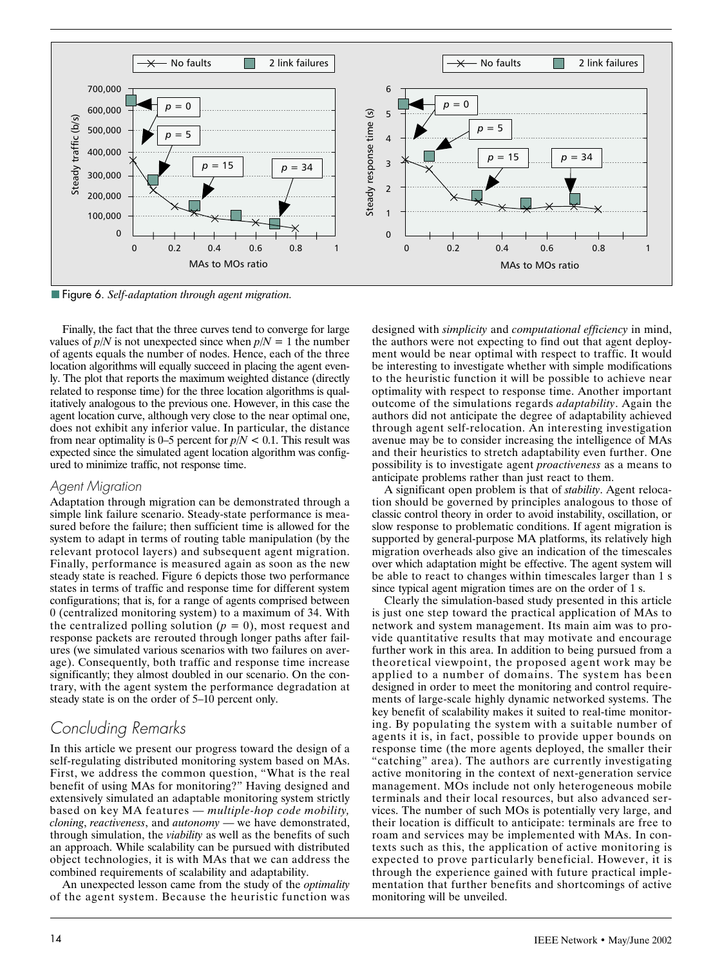

■ Figure 6. *Self-adaptation through agent migration*.

Finally, the fact that the three curves tend to converge for large values of  $p/N$  is not unexpected since when  $p/N = 1$  the number of agents equals the number of nodes. Hence, each of the three location algorithms will equally succeed in placing the agent evenly. The plot that reports the maximum weighted distance (directly related to response time) for the three location algorithms is qualitatively analogous to the previous one. However, in this case the agent location curve, although very close to the near optimal one, does not exhibit any inferior value. In particular, the distance from near optimality is 0–5 percent for  $p/N < 0.1$ . This result was expected since the simulated agent location algorithm was configured to minimize traffic, not response time.

# *Agent Migration*

Adaptation through migration can be demonstrated through a simple link failure scenario. Steady-state performance is measured before the failure; then sufficient time is allowed for the system to adapt in terms of routing table manipulation (by the relevant protocol layers) and subsequent agent migration. Finally, performance is measured again as soon as the new steady state is reached. Figure 6 depicts those two performance states in terms of traffic and response time for different system configurations; that is, for a range of agents comprised between 0 (centralized monitoring system) to a maximum of 34. With the centralized polling solution  $(p = 0)$ , most request and response packets are rerouted through longer paths after failures (we simulated various scenarios with two failures on average). Consequently, both traffic and response time increase significantly; they almost doubled in our scenario. On the contrary, with the agent system the performance degradation at steady state is on the order of 5–10 percent only.

# *Concluding Remarks*

In this article we present our progress toward the design of a self-regulating distributed monitoring system based on MAs. First, we address the common question, "What is the real benefit of using MAs for monitoring?" Having designed and extensively simulated an adaptable monitoring system strictly based on key MA features — *multiple-hop code mobility, cloning*, *reactiveness*, and *autonomy* — we have demonstrated, through simulation, the *viability* as well as the benefits of such an approach. While scalability can be pursued with distributed object technologies, it is with MAs that we can address the combined requirements of scalability and adaptability.

An unexpected lesson came from the study of the *optimality* of the agent system. Because the heuristic function was designed with *simplicity* and *computational efficiency* in mind, the authors were not expecting to find out that agent deployment would be near optimal with respect to traffic. It would be interesting to investigate whether with simple modifications to the heuristic function it will be possible to achieve near optimality with respect to response time. Another important outcome of the simulations regards *adaptability*. Again the authors did not anticipate the degree of adaptability achieved through agent self-relocation. An interesting investigation avenue may be to consider increasing the intelligence of MAs and their heuristics to stretch adaptability even further. One possibility is to investigate agent *proactiveness* as a means to anticipate problems rather than just react to them.

A significant open problem is that of *stability*. Agent relocation should be governed by principles analogous to those of classic control theory in order to avoid instability, oscillation, or slow response to problematic conditions. If agent migration is supported by general-purpose MA platforms, its relatively high migration overheads also give an indication of the timescales over which adaptation might be effective. The agent system will be able to react to changes within timescales larger than 1 s since typical agent migration times are on the order of 1 s.

Clearly the simulation-based study presented in this article is just one step toward the practical application of MAs to network and system management. Its main aim was to provide quantitative results that may motivate and encourage further work in this area. In addition to being pursued from a theoretical viewpoint, the proposed agent work may be applied to a number of domains. The system has been designed in order to meet the monitoring and control requirements of large-scale highly dynamic networked systems. The key benefit of scalability makes it suited to real-time monitoring. By populating the system with a suitable number of agents it is, in fact, possible to provide upper bounds on response time (the more agents deployed, the smaller their "catching" area). The authors are currently investigating active monitoring in the context of next-generation service management. MOs include not only heterogeneous mobile terminals and their local resources, but also advanced services. The number of such MOs is potentially very large, and their location is difficult to anticipate: terminals are free to roam and services may be implemented with MAs. In contexts such as this, the application of active monitoring is expected to prove particularly beneficial. However, it is through the experience gained with future practical implementation that further benefits and shortcomings of active monitoring will be unveiled.